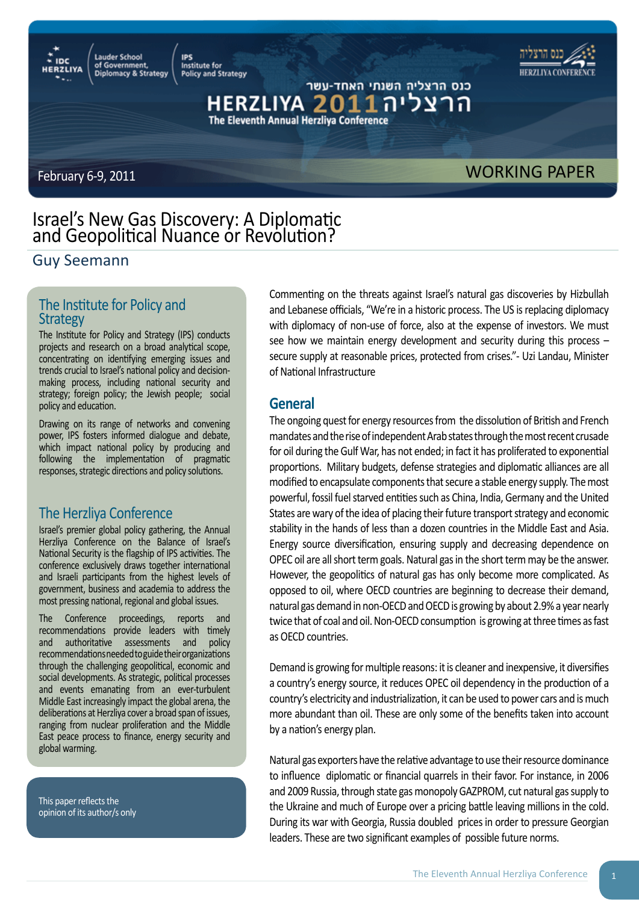Institute for **Policy and Strategy** 

**IPS** 



כנס הרצליה השנתי האחד-עשר The Eleventh Annual Herzliya Conference

**Lauder School** 

of Government,<br>Diplomacy & Strategy

# February 6-9, 2011 **WORKING PAPER**

# Israel's New Gas Discovery: A Diplomatic and Geopolitical Nuance or Revolution?

# Guy Seemann

# The Institute for Policy and **Strategy**

The Institute for Policy and Strategy (IPS) conducts projects and research on a broad analytical scope, concentrating on identifying emerging issues and trends crucial to Israel's national policy and decisionmaking process, including national security and strategy; foreign policy; the Jewish people; social policy and education.

Drawing on its range of networks and convening power, IPS fosters informed dialogue and debate, which impact national policy by producing and following the implementation of pragmatic responses, strategic directions and policy solutions.

# The Herzliya Conference

Israel's premier global policy gathering, the Annual Herzliya Conference on the Balance of Israel's National Security is the flagship of IPS activities. The conference exclusively draws together international and Israeli participants from the highest levels of government, business and academia to address the most pressing national, regional and global issues.

The Conference proceedings, reports and recommendations provide leaders with timely and authoritative assessments and policy recommendations needed to guide their organizations through the challenging geopolitical, economic and social developments. As strategic, political processes and events emanating from an ever-turbulent Middle East increasingly impact the global arena, the deliberations at Herzliya cover a broad span of issues, ranging from nuclear proliferation and the Middle East peace process to finance, energy security and global warming.

This paper reflects the opinion of its author/s only Commenting on the threats against Israel's natural gas discoveries by Hizbullah and Lebanese officials, "We're in a historic process. The US is replacing diplomacy with diplomacy of non-use of force, also at the expense of investors. We must see how we maintain energy development and security during this process – secure supply at reasonable prices, protected from crises."- Uzi Landau, Minister of National Infrastructure

# **General**

The ongoing quest for energy resources from the dissolution of British and French mandates and the rise of independent Arab states through the most recent crusade for oil during the Gulf War, has not ended; in fact it has proliferated to exponential proportions. Military budgets, defense strategies and diplomatic alliances are all modified to encapsulate components that secure a stable energy supply. The most powerful, fossil fuel starved entities such as China, India, Germany and the United States are wary of the idea of placing their future transport strategy and economic stability in the hands of less than a dozen countries in the Middle East and Asia. Energy source diversification, ensuring supply and decreasing dependence on OPEC oil are all short term goals. Natural gas in the short term may be the answer. However, the geopolitics of natural gas has only become more complicated. As opposed to oil, where OECD countries are beginning to decrease their demand, natural gas demand in non-OECD and OECD is growing by about 2.9% a year nearly twice that of coal and oil. Non-OECD consumption is growing at three times as fast as OECD countries.

Demand is growing for multiple reasons: it is cleaner and inexpensive, it diversifies a country's energy source, it reduces OPEC oil dependency in the production of a country's electricity and industrialization, it can be used to power cars and is much more abundant than oil. These are only some of the benefits taken into account by a nation's energy plan.

Natural gas exporters have the relative advantage to use their resource dominance to influence diplomatic or financial quarrels in their favor. For instance, in 2006 and 2009 Russia, through state gas monopoly GAZPROM, cut natural gas supply to the Ukraine and much of Europe over a pricing battle leaving millions in the cold. During its war with Georgia, Russia doubled prices in order to pressure Georgian leaders. These are two significant examples of possible future norms.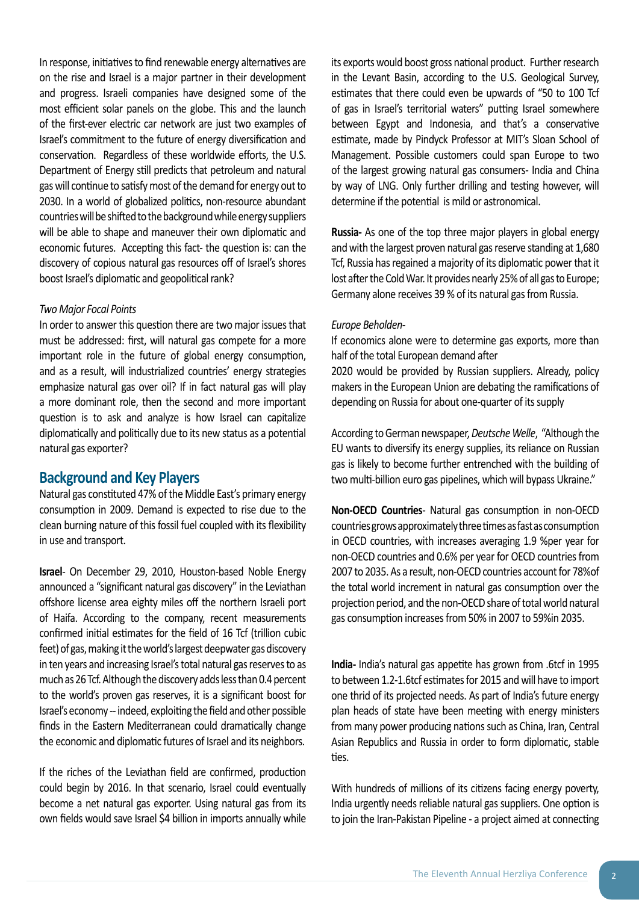In response, initiatives to find renewable energy alternatives are on the rise and Israel is a major partner in their development and progress. Israeli companies have designed some of the most efficient solar panels on the globe. This and the launch of the first-ever electric car network are just two examples of Israel's commitment to the future of energy diversification and conservation. Regardless of these worldwide efforts, the U.S. Department of Energy still predicts that petroleum and natural gas will continue to satisfy most of the demand for energy out to 2030. In a world of globalized politics, non-resource abundant countries will be shifted to the background while energy suppliers will be able to shape and maneuver their own diplomatic and economic futures. Accepting this fact- the question is: can the discovery of copious natural gas resources off of Israel's shores boost Israel's diplomatic and geopolitical rank?

#### *Two Major Focal Points*

In order to answer this question there are two major issues that must be addressed: first, will natural gas compete for a more important role in the future of global energy consumption, and as a result, will industrialized countries' energy strategies emphasize natural gas over oil? If in fact natural gas will play a more dominant role, then the second and more important question is to ask and analyze is how Israel can capitalize diplomatically and politically due to its new status as a potential natural gas exporter?

### **Background and Key Players**

Natural gas constituted 47% of the Middle East's primary energy consumption in 2009. Demand is expected to rise due to the clean burning nature of this fossil fuel coupled with its flexibility in use and transport.

**Israel**- On December 29, 2010, Houston-based Noble Energy announced a "significant natural gas discovery" in the Leviathan offshore license area eighty miles off the northern Israeli port of Haifa. According to the company, recent measurements confirmed initial estimates for the field of 16 Tcf (trillion cubic feet) of gas, making it the world's largest deepwater gas discovery in ten years and increasing Israel's total natural gas reserves to as much as 26 Tcf. Although the discovery adds less than 0.4 percent to the world's proven gas reserves, it is a significant boost for Israel's economy -- indeed, exploiting the field and other possible finds in the Eastern Mediterranean could dramatically change the economic and diplomatic futures of Israel and its neighbors.

If the riches of the Leviathan field are confirmed, production could begin by 2016. In that scenario, Israel could eventually become a net natural gas exporter. Using natural gas from its own fields would save Israel \$4 billion in imports annually while

its exports would boost gross national product. Further research in the Levant Basin, according to the U.S. Geological Survey, estimates that there could even be upwards of "50 to 100 Tcf of gas in Israel's territorial waters" putting Israel somewhere between Egypt and Indonesia, and that's a conservative estimate, made by Pindyck Professor at MIT's Sloan School of Management. Possible customers could span Europe to two of the largest growing natural gas consumers- India and China by way of LNG. Only further drilling and testing however, will determine if the potential is mild or astronomical.

**Russia-** As one of the top three major players in global energy and with the largest proven natural gas reserve standing at 1,680 Tcf, Russia has regained a majority of its diplomatic power that it lost after the Cold War. It provides nearly 25% of all gas to Europe; Germany alone receives 39 % of its natural gas from Russia.

#### *Europe Beholden-*

If economics alone were to determine gas exports, more than half of the total European demand after 2020 would be provided by Russian suppliers. Already, policy

makers in the European Union are debating the ramifications of depending on Russia for about one-quarter of its supply

According to German newspaper, *Deutsche Welle*, "Although the EU wants to diversify its energy supplies, its reliance on Russian gas is likely to become further entrenched with the building of two multi-billion euro gas pipelines, which will bypass Ukraine."

**Non-OECD Countries**- Natural gas consumption in non-OECD countries grows approximately three times as fast as consumption in OECD countries, with increases averaging 1.9 %per year for non-OECD countries and 0.6% per year for OECD countries from 2007 to 2035. As a result, non-OECD countries account for 78%of the total world increment in natural gas consumption over the projection period, and the non-OECD share of total world natural gas consumption increases from 50% in 2007 to 59%in 2035.

**India-** India's natural gas appetite has grown from .6tcf in 1995 to between 1.2-1.6tcf estimates for 2015 and will have to import one thrid of its projected needs. As part of India's future energy plan heads of state have been meeting with energy ministers from many power producing nations such as China, Iran, Central Asian Republics and Russia in order to form diplomatic, stable ties.

With hundreds of millions of its citizens facing energy poverty, India urgently needs reliable natural gas suppliers. One option is to join the Iran-Pakistan Pipeline - a project aimed at connecting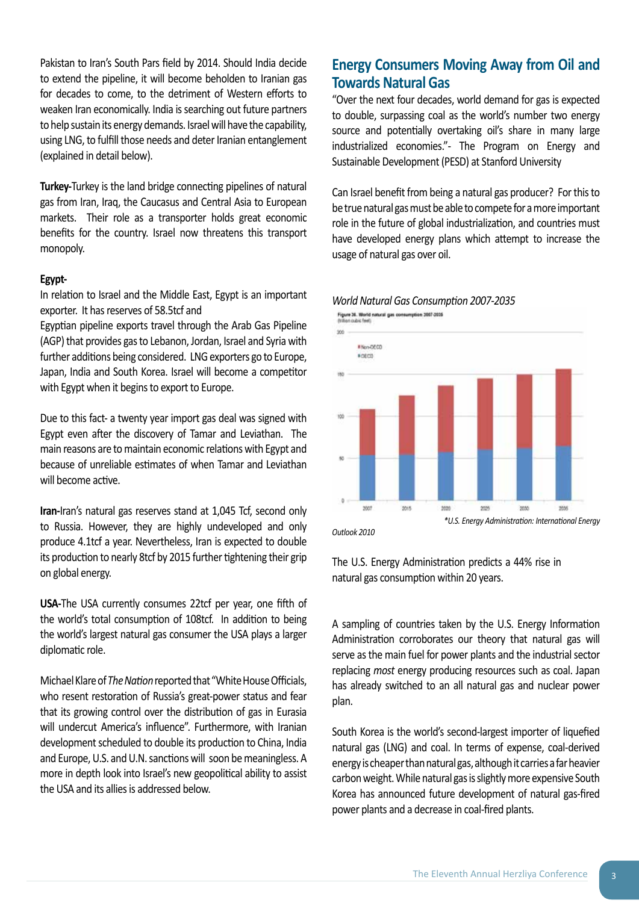Pakistan to Iran's South Pars field by 2014. Should India decide to extend the pipeline, it will become beholden to Iranian gas for decades to come, to the detriment of Western efforts to weaken Iran economically. India is searching out future partners to help sustain its energy demands. Israel will have the capability, using LNG, to fulfill those needs and deter Iranian entanglement (explained in detail below).

**Turkey-**Turkey is the land bridge connecting pipelines of natural gas from Iran, Iraq, the Caucasus and Central Asia to European markets. Their role as a transporter holds great economic benefits for the country. Israel now threatens this transport monopoly.

#### **Egypt-**

In relation to Israel and the Middle East, Egypt is an important exporter. It has reserves of 58.5tcf and

Egyptian pipeline exports travel through the Arab Gas Pipeline (AGP) that provides gas to Lebanon, Jordan, Israel and Syria with further additions being considered. LNG exporters go to Europe, Japan, India and South Korea. Israel will become a competitor with Egypt when it begins to export to Europe.

Due to this fact- a twenty year import gas deal was signed with Egypt even after the discovery of Tamar and Leviathan. The main reasons are to maintain economic relations with Egypt and because of unreliable estimates of when Tamar and Leviathan will become active.

**Iran-**Iran's natural gas reserves stand at 1,045 Tcf, second only to Russia. However, they are highly undeveloped and only produce 4.1tcf a year. Nevertheless, Iran is expected to double its production to nearly 8tcf by 2015 further tightening their grip on global energy.

**USA-**The USA currently consumes 22tcf per year, one fifth of the world's total consumption of 108tcf. In addition to being the world's largest natural gas consumer the USA plays a larger diplomatic role.

Michael Klare of *The Nation* reported that "White House Officials, who resent restoration of Russia's great-power status and fear that its growing control over the distribution of gas in Eurasia will undercut America's influence". Furthermore, with Iranian development scheduled to double its production to China, India and Europe, U.S. and U.N. sanctions will soon be meaningless. A more in depth look into Israel's new geopolitical ability to assist the USA and its allies is addressed below.

# **Energy Consumers Moving Away from Oil and Towards Natural Gas**

"Over the next four decades, world demand for gas is expected to double, surpassing coal as the world's number two energy source and potentially overtaking oil's share in many large industrialized economies."- The Program on Energy and Sustainable Development (PESD) at Stanford University

Can Israel benefit from being a natural gas producer? For this to be true natural gas must be able to compete for a more important role in the future of global industrialization, and countries must have developed energy plans which attempt to increase the usage of natural gas over oil.

# *World Natural Gas Consumption 2007-2035*



*Outlook 2010*

The U.S. Energy Administration predicts a 44% rise in natural gas consumption within 20 years.

A sampling of countries taken by the U.S. Energy Information Administration corroborates our theory that natural gas will serve as the main fuel for power plants and the industrial sector replacing *most* energy producing resources such as coal. Japan has already switched to an all natural gas and nuclear power plan.

South Korea is the world's second-largest importer of liquefied natural gas (LNG) and coal. In terms of expense, coal-derived energy is cheaper than natural gas, although it carries a far heavier carbon weight. While natural gas is slightly more expensive South Korea has announced future development of natural gas-fired power plants and a decrease in coal-fired plants.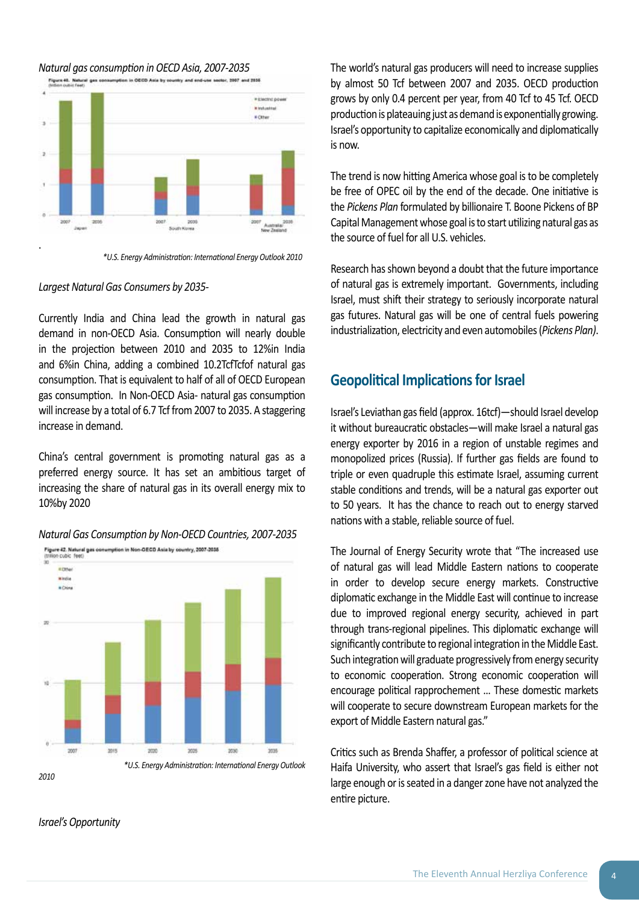# *2010*

2019

**STOP** 

 $2007$ 

*Israel's Opportunity*

# 10%by 2020

*Natural Gas Consumption by Non-OECD Countries, 2007-2035* Figure 42. Natural gas conumption in Non-OECD Asia by country, 2007-2035 o cubic feet ٠ò

 *\*U.S. Energy Administration: International Energy Outlook* 

2000

2035

**SYDE** 



 *\*U.S. Energy Administration: International Energy Outlook 2010*

# *Largest Natural Gas Consumers by 2035-*

Currently India and China lead the growth in natural gas demand in non-OECD Asia. Consumption will nearly double in the projection between 2010 and 2035 to 12%in India and 6%in China, adding a combined 10.2TcfTcfof natural gas consumption. That is equivalent to half of all of OECD European gas consumption. In Non-OECD Asia- natural gas consumption will increase by a total of 6.7 Tcf from 2007 to 2035. A staggering increase in demand.

China's central government is promoting natural gas as a preferred energy source. It has set an ambitious target of increasing the share of natural gas in its overall energy mix to The world's natural gas producers will need to increase supplies by almost 50 Tcf between 2007 and 2035. OECD production grows by only 0.4 percent per year, from 40 Tcf to 45 Tcf. OECD production is plateauing just as demand is exponentially growing. Israel's opportunity to capitalize economically and diplomatically is now.

The trend is now hitting America whose goal is to be completely be free of OPEC oil by the end of the decade. One initiative is the *Pickens Plan* formulated by billionaire T. Boone Pickens of BP Capital Management whose goal is to start utilizing natural gas as the source of fuel for all U.S. vehicles.

Research has shown beyond a doubt that the future importance of natural gas is extremely important. Governments, including Israel, must shift their strategy to seriously incorporate natural gas futures. Natural gas will be one of central fuels powering industrialization, electricity and even automobiles (*Pickens Plan)*.

# **Geopolitical Implications for Israel**

Israel's Leviathan gas field (approx. 16tcf)—should Israel develop it without bureaucratic obstacles—will make Israel a natural gas energy exporter by 2016 in a region of unstable regimes and monopolized prices (Russia). If further gas fields are found to triple or even quadruple this estimate Israel, assuming current stable conditions and trends, will be a natural gas exporter out to 50 years. It has the chance to reach out to energy starved nations with a stable, reliable source of fuel.

The Journal of Energy Security wrote that "The increased use of natural gas will lead Middle Eastern nations to cooperate in order to develop secure energy markets. Constructive diplomatic exchange in the Middle East will continue to increase due to improved regional energy security, achieved in part through trans-regional pipelines. This diplomatic exchange will significantly contribute to regional integration in the Middle East. Such integration will graduate progressively from energy security to economic cooperation. Strong economic cooperation will encourage political rapprochement … These domestic markets will cooperate to secure downstream European markets for the export of Middle Eastern natural gas."

Critics such as Brenda Shaffer, a professor of political science at Haifa University, who assert that Israel's gas field is either not large enough or is seated in a danger zone have not analyzed the entire picture.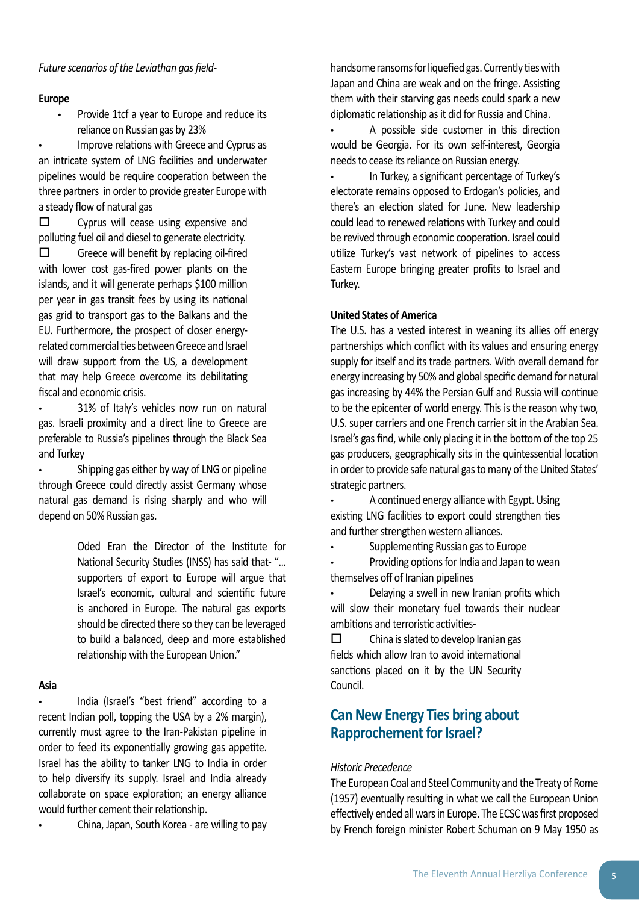#### *Future scenarios of the Leviathan gas field-*

#### **Europe**

Provide 1tcf a year to Europe and reduce its reliance on Russian gas by 23%

Improve relations with Greece and Cyprus as an intricate system of LNG facilities and underwater pipelines would be require cooperation between the three partners in order to provide greater Europe with a steady flow of natural gas

 $\square$  Cyprus will cease using expensive and polluting fuel oil and diesel to generate electricity.

 $\square$  Greece will benefit by replacing oil-fired with lower cost gas-fired power plants on the islands, and it will generate perhaps \$100 million per year in gas transit fees by using its national gas grid to transport gas to the Balkans and the EU. Furthermore, the prospect of closer energyrelated commercial ties between Greece and Israel will draw support from the US, a development that may help Greece overcome its debilitating fiscal and economic crisis.

31% of Italy's vehicles now run on natural gas. Israeli proximity and a direct line to Greece are preferable to Russia's pipelines through the Black Sea and Turkey

Shipping gas either by way of LNG or pipeline through Greece could directly assist Germany whose natural gas demand is rising sharply and who will depend on 50% Russian gas.

> Oded Eran the Director of the Institute for National Security Studies (INSS) has said that- "… supporters of export to Europe will argue that Israel's economic, cultural and scientific future is anchored in Europe. The natural gas exports should be directed there so they can be leveraged to build a balanced, deep and more established relationship with the European Union."

#### **Asia**

India (Israel's "best friend" according to a recent Indian poll, topping the USA by a 2% margin), currently must agree to the Iran-Pakistan pipeline in order to feed its exponentially growing gas appetite. Israel has the ability to tanker LNG to India in order to help diversify its supply. Israel and India already collaborate on space exploration; an energy alliance would further cement their relationship.

China, Japan, South Korea - are willing to pay

handsome ransoms for liquefied gas. Currently ties with Japan and China are weak and on the fringe. Assisting them with their starving gas needs could spark a new diplomatic relationship as it did for Russia and China.

A possible side customer in this direction would be Georgia. For its own self-interest, Georgia needs to cease its reliance on Russian energy.

• In Turkey, a significant percentage of Turkey's electorate remains opposed to Erdogan's policies, and there's an election slated for June. New leadership could lead to renewed relations with Turkey and could be revived through economic cooperation. Israel could utilize Turkey's vast network of pipelines to access Eastern Europe bringing greater profits to Israel and Turkey.

#### **United States of America**

The U.S. has a vested interest in weaning its allies off energy partnerships which conflict with its values and ensuring energy supply for itself and its trade partners. With overall demand for energy increasing by 50% and global specific demand for natural gas increasing by 44% the Persian Gulf and Russia will continue to be the epicenter of world energy. This is the reason why two, U.S. super carriers and one French carrier sit in the Arabian Sea. Israel's gas find, while only placing it in the bottom of the top 25 gas producers, geographically sits in the quintessential location in order to provide safe natural gas to many of the United States' strategic partners.

A continued energy alliance with Egypt. Using existing LNG facilities to export could strengthen ties and further strengthen western alliances.

Supplementing Russian gas to Europe

Providing options for India and Japan to wean themselves off of Iranian pipelines

Delaying a swell in new Iranian profits which will slow their monetary fuel towards their nuclear ambitions and terroristic activities-

 $\square$  China is slated to develop Iranian gas fields which allow Iran to avoid international sanctions placed on it by the UN Security Council.

# **Can New Energy Ties bring about Rapprochement for Israel?**

#### *Historic Precedence*

The European Coal and Steel Community and the Treaty of Rome (1957) eventually resulting in what we call the European Union effectively ended all wars in Europe. The ECSC was first proposed by French foreign minister Robert Schuman on 9 May 1950 as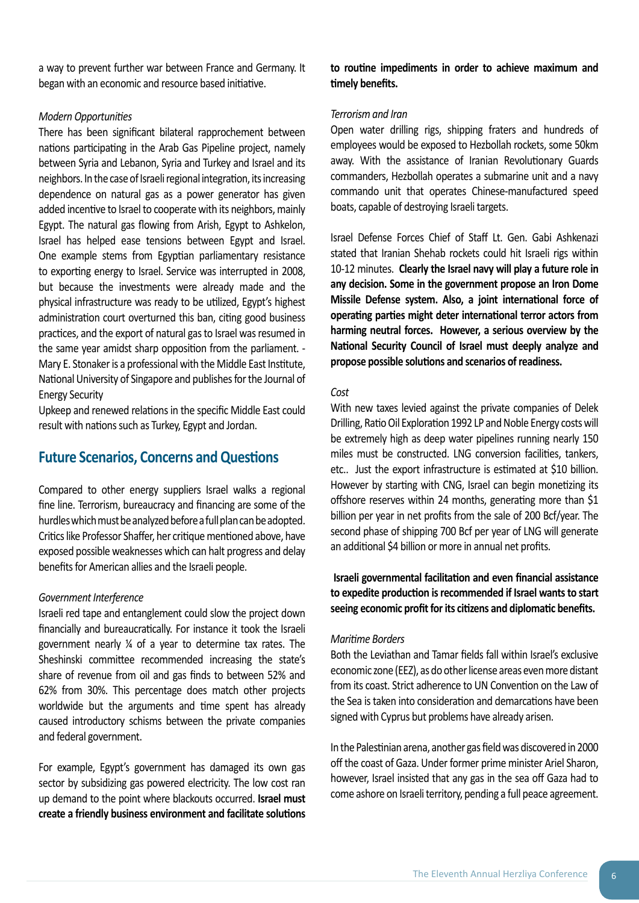a way to prevent further war between France and Germany. It began with an economic and resource based initiative.

#### *Modern Opportunities*

There has been significant bilateral rapprochement between nations participating in the Arab Gas Pipeline project, namely between Syria and Lebanon, Syria and Turkey and Israel and its neighbors. In the case of Israeli regional integration, its increasing dependence on natural gas as a power generator has given added incentive to Israel to cooperate with its neighbors, mainly Egypt. The natural gas flowing from Arish, Egypt to Ashkelon, Israel has helped ease tensions between Egypt and Israel. One example stems from Egyptian parliamentary resistance to exporting energy to Israel. Service was interrupted in 2008, but because the investments were already made and the physical infrastructure was ready to be utilized, Egypt's highest administration court overturned this ban, citing good business practices, and the export of natural gas to Israel was resumed in the same year amidst sharp opposition from the parliament. - Mary E. Stonaker is a professional with the Middle East Institute, National University of Singapore and publishes for the Journal of Energy Security

Upkeep and renewed relations in the specific Middle East could result with nations such as Turkey, Egypt and Jordan.

# **Future Scenarios, Concerns and Questions**

Compared to other energy suppliers Israel walks a regional fine line. Terrorism, bureaucracy and financing are some of the hurdles which must be analyzed before a full plan can be adopted. Critics like Professor Shaffer, her critique mentioned above, have exposed possible weaknesses which can halt progress and delay benefits for American allies and the Israeli people.

#### *Government Interference*

Israeli red tape and entanglement could slow the project down financially and bureaucratically. For instance it took the Israeli government nearly ¼ of a year to determine tax rates. The Sheshinski committee recommended increasing the state's share of revenue from oil and gas finds to between 52% and 62% from 30%. This percentage does match other projects worldwide but the arguments and time spent has already caused introductory schisms between the private companies and federal government.

For example, Egypt's government has damaged its own gas sector by subsidizing gas powered electricity. The low cost ran up demand to the point where blackouts occurred. **Israel must create a friendly business environment and facilitate solutions** 

#### **to routine impediments in order to achieve maximum and timely benefits.**

#### *Terrorism and Iran*

Open water drilling rigs, shipping fraters and hundreds of employees would be exposed to Hezbollah rockets, some 50km away. With the assistance of Iranian Revolutionary Guards commanders, Hezbollah operates a submarine unit and a navy commando unit that operates Chinese-manufactured speed boats, capable of destroying Israeli targets.

Israel Defense Forces Chief of Staff Lt. Gen. Gabi Ashkenazi stated that Iranian Shehab rockets could hit Israeli rigs within 10-12 minutes. **Clearly the Israel navy will play a future role in any decision. Some in the government propose an Iron Dome Missile Defense system. Also, a joint international force of operating parties might deter international terror actors from harming neutral forces. However, a serious overview by the National Security Council of Israel must deeply analyze and propose possible solutions and scenarios of readiness.** 

#### *Cost*

With new taxes levied against the private companies of Delek Drilling, Ratio Oil Exploration 1992 LP and Noble Energy costs will be extremely high as deep water pipelines running nearly 150 miles must be constructed. LNG conversion facilities, tankers, etc.. Just the export infrastructure is estimated at \$10 billion. However by starting with CNG, Israel can begin monetizing its offshore reserves within 24 months, generating more than \$1 billion per year in net profits from the sale of 200 Bcf/year. The second phase of shipping 700 Bcf per year of LNG will generate an additional \$4 billion or more in annual net profits.

 **Israeli governmental facilitation and even financial assistance to expedite production is recommended if Israel wants to start seeing economic profit for its citizens and diplomatic benefits.** 

#### *Maritime Borders*

Both the Leviathan and Tamar fields fall within Israel's exclusive economic zone (EEZ), as do other license areas even more distant from its coast. Strict adherence to UN Convention on the Law of the Sea is taken into consideration and demarcations have been signed with Cyprus but problems have already arisen.

In the Palestinian arena, another gas field was discovered in 2000 off the coast of Gaza. Under former prime minister Ariel Sharon, however, Israel insisted that any gas in the sea off Gaza had to come ashore on Israeli territory, pending a full peace agreement.